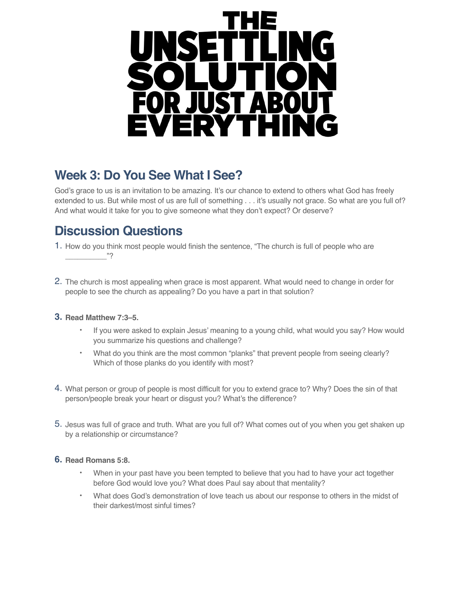

# **Week 3: Do You See What I See?**

God's grace to us is an invitation to be amazing. It's our chance to extend to others what God has freely extended to us. But while most of us are full of something . . . it's usually not grace. So what are you full of? And what would it take for you to give someone what they don't expect? Or deserve?

### **Discussion Questions**

- 1. How do you think most people would finish the sentence, "The church is full of people who are  $"$ ?
- 2. The church is most appealing when grace is most apparent. What would need to change in order for people to see the church as appealing? Do you have a part in that solution?

#### **3. Read Matthew 7:3–5.**

- If you were asked to explain Jesus' meaning to a young child, what would you say? How would you summarize his questions and challenge?
- What do you think are the most common "planks" that prevent people from seeing clearly? Which of those planks do you identify with most?
- 4. What person or group of people is most difficult for you to extend grace to? Why? Does the sin of that person/people break your heart or disgust you? What's the difference?
- 5. Jesus was full of grace and truth. What are you full of? What comes out of you when you get shaken up by a relationship or circumstance?

#### **6. Read Romans 5:8.**

- When in your past have you been tempted to believe that you had to have your act together before God would love you? What does Paul say about that mentality?
- What does God's demonstration of love teach us about our response to others in the midst of their darkest/most sinful times?